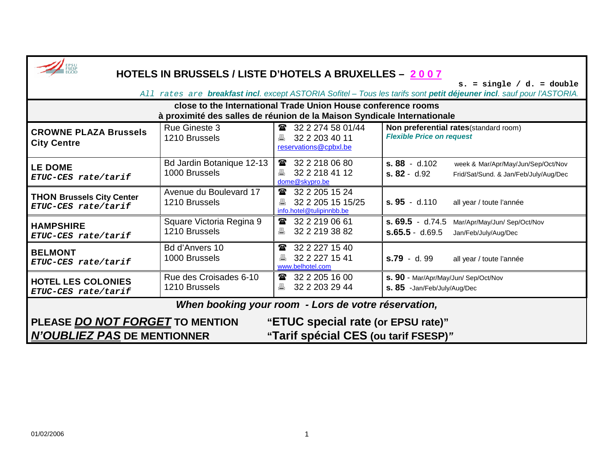| HOTELS IN BRUSSELS / LISTE D'HOTELS A BRUXELLES - 2007                                                                                                      |                                            |                                                                                      |                                                                                                                  |  |  |
|-------------------------------------------------------------------------------------------------------------------------------------------------------------|--------------------------------------------|--------------------------------------------------------------------------------------|------------------------------------------------------------------------------------------------------------------|--|--|
| $s. = single / d. = double$<br>All rates are <b>breakfast incl.</b> except ASTORIA Sofitel – Tous les tarifs sont petit déjeuner incl. sauf pour l'ASTORIA. |                                            |                                                                                      |                                                                                                                  |  |  |
| close to the International Trade Union House conference rooms<br>à proximité des salles de réunion de la Maison Syndicale Internationale                    |                                            |                                                                                      |                                                                                                                  |  |  |
| <b>CROWNE PLAZA Brussels</b><br><b>City Centre</b>                                                                                                          | <b>Rue Gineste 3</b><br>1210 Brussels      | <b>■</b> 32 2 274 58 01/44<br>32 2 203 40 11<br>昌<br>reservations@cpbxl.be           | Non preferential rates(standard room)<br><b>Flexible Price on request</b>                                        |  |  |
| <b>LE DOME</b><br>ETUC-CES rate/tarif                                                                                                                       | Bd Jardin Botanique 12-13<br>1000 Brussels | 32 2 218 06 80<br>$\mathbf{a}$<br>32 2 218 41 12<br>昌<br>dome@skypro.be              | $s. 88 - d.102$<br>week & Mar/Apr/May/Jun/Sep/Oct/Nov<br>$s. 82 - d.92$<br>Frid/Sat/Sund. & Jan/Feb/July/Aug/Dec |  |  |
| <b>THON Brussels City Center</b><br>ETUC-CES rate/tarif                                                                                                     | Avenue du Boulevard 17<br>1210 Brussels    | 32 2 205 15 24<br>$\mathbf{a}$<br>32 2 205 15 15/25<br>昌<br>info.hotel@tulipinnbb.be | $s.95 - d.110$<br>all year / toute l'année                                                                       |  |  |
| <b>HAMPSHIRE</b><br>ETUC-CES rate/tarif                                                                                                                     | Square Victoria Regina 9<br>1210 Brussels  | 32 2 219 06 61<br>金<br>32 2 219 38 82<br>昌                                           | $s. 69.5 - d.74.5$<br>Mar/Apr/May/Jun/ Sep/Oct/Nov<br>$S.65.5 - d.69.5$<br>Jan/Feb/July/Aug/Dec                  |  |  |
| <b>BELMONT</b><br>ETUC-CES rate/tarif                                                                                                                       | Bd d'Anvers 10<br>1000 Brussels            | 32 2 2 2 7 1 5 4 0<br>雷<br>32 2 2 2 7 1 5 4 1<br>昌<br>www.belhotel.com               | s.79 - d. 99<br>all year / toute l'année                                                                         |  |  |
| <b>HOTEL LES COLONIES</b><br>ETUC-CES rate/tarif                                                                                                            | Rue des Croisades 6-10<br>1210 Brussels    | 32 2 205 16 00<br>金<br>32 2 203 29 44<br>昌                                           | S. 90 - Mar/Apr/May/Jun/ Sep/Oct/Nov<br>s. 85 - Jan/Feb/July/Aug/Dec                                             |  |  |
| When booking your room - Lors de votre réservation,                                                                                                         |                                            |                                                                                      |                                                                                                                  |  |  |
| PLEASE DO NOT FORGET TO MENTION<br><b>N'OUBLIEZ PAS DE MENTIONNER</b>                                                                                       |                                            | "ETUC special rate (or EPSU rate)"<br>"Tarif spécial CES (ou tarif FSESP)"           |                                                                                                                  |  |  |

×

г

┓